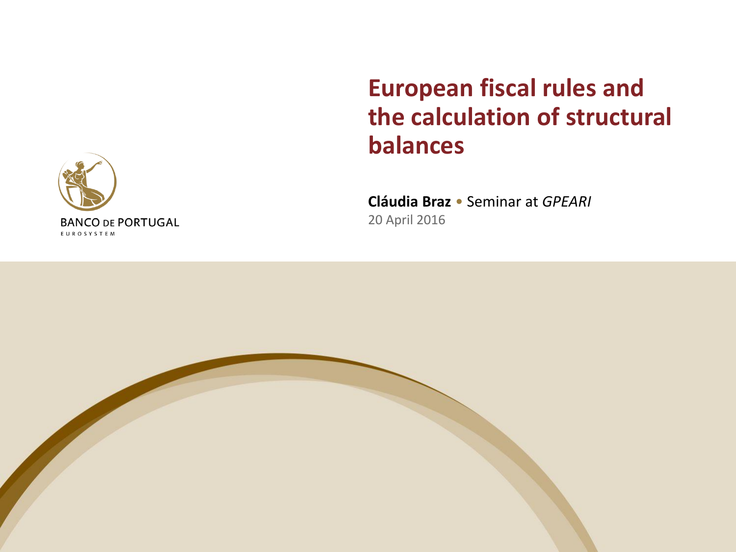

## **European fiscal rules and the calculation of structural balances**

**Cláudia Braz** • Seminar at *GPEARI* 20 April 2016

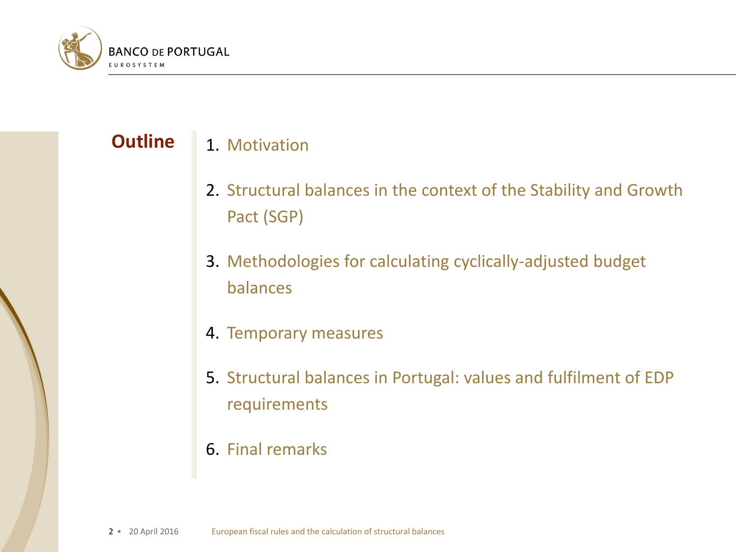

#### 1. Motivation **Outline**

- 2. Structural balances in the context of the Stability and Growth Pact (SGP)
- 3. Methodologies for calculating cyclically-adjusted budget balances
- 4. Temporary measures
- 5. Structural balances in Portugal: values and fulfilment of EDP requirements
- 6. Final remarks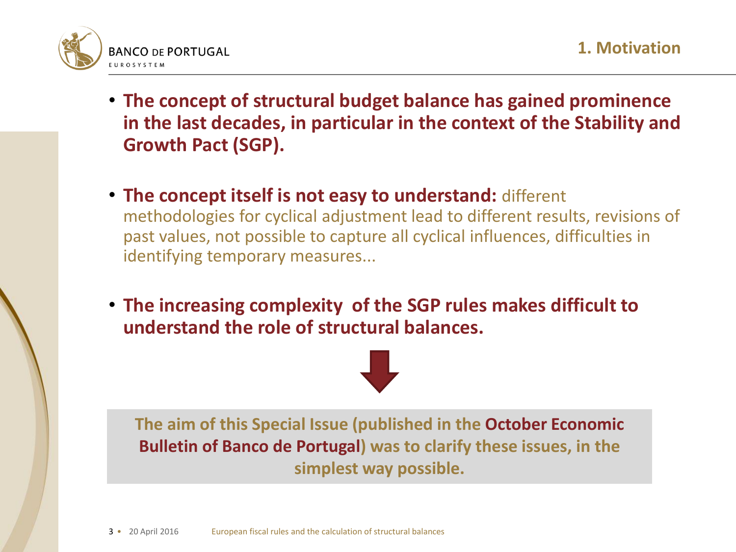

- **The concept of structural budget balance has gained prominence in the last decades, in particular in the context of the Stability and Growth Pact (SGP).**
- **The concept itself is not easy to understand:** different methodologies for cyclical adjustment lead to different results, revisions of past values, not possible to capture all cyclical influences, difficulties in identifying temporary measures...
- **The increasing complexity of the SGP rules makes difficult to understand the role of structural balances.**



**The aim of this Special Issue (published in the October Economic Bulletin of Banco de Portugal) was to clarify these issues, in the simplest way possible.**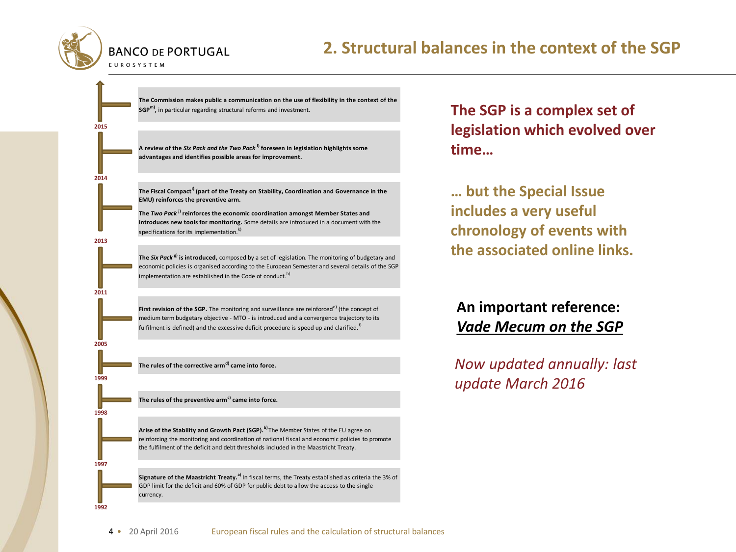

**2015**

**2014**

**2013**

**2011**

**2005**

**1999**

**1998**

**1997**

**1992**

#### **2. Structural balances in the context of the SGP**

**The Commission makes public a communication on the use of flexibility in the context of the SGPm) ,** in particular regarding structural reforms and investment.

**A review of the** *Six Pack and the Two Pack* **l) foreseen in legislation highlights some advantages and identifies possible areas for improvement.**

**The Fiscal Compacti) (part of the Treaty on Stability, Coordination and Governance in the EMU) reinforces the preventive arm.**

**The** *Two Pack* **j) reinforces the economic coordination amongst Member States and introduces new tools for monitoring.** Some details are introduced in a document with the specifications for its implementation.<sup>k</sup>)

**The** *Six Pack* **g) is introduced,** composed by a set of legislation. The monitoring of budgetary and economic policies is organised according to the European Semester and several details of the SGP implementation are established in the Code of conduct.<sup>h)</sup>

**First revision of the SGP.** The monitoring and surveillance are reinforced<sup>e)</sup> (the concept of medium term budgetary objective - MTO - is introduced and a convergence trajectory to its fulfilment is defined) and the excessive deficit procedure is speed up and clarified. $<sup>f</sup>$ </sup>

**The rules of the corrective armd) came into force.**

The rules of the preventive arm<sup>c)</sup> came into force.

**Arise of the Stability and Growth Pact (SGP).b)** The Member States of the EU agree on reinforcing the monitoring and coordination of national fiscal and economic policies to promote the fulfilment of the deficit and debt thresholds included in the Maastricht Treaty.

**Signature of the Maastricht Treaty.a)** In fiscal terms, the Treaty established as criteria the 3% of GDP limit for the deficit and 60% of GDP for public debt to allow the access to the single currency.

#### **The SGP is a complex set of legislation which evolved over time…**

**… but the Special Issue includes a very useful chronology of events with the associated online links.**

#### **An important reference:**  *Vade Mecum on the SGP*

*Now updated annually: last update March 2016*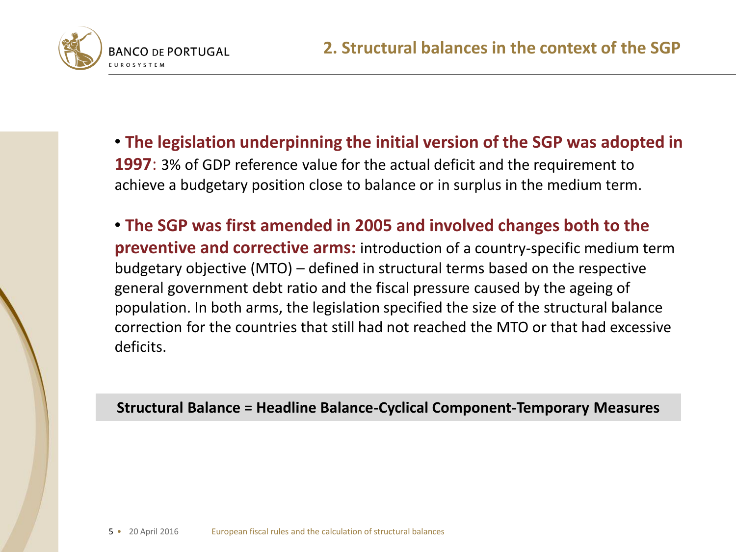

• **The legislation underpinning the initial version of the SGP was adopted in 1997**: 3% of GDP reference value for the actual deficit and the requirement to achieve a budgetary position close to balance or in surplus in the medium term.

• **The SGP was first amended in 2005 and involved changes both to the preventive and corrective arms:** introduction of a country-specific medium term budgetary objective (MTO) – defined in structural terms based on the respective general government debt ratio and the fiscal pressure caused by the ageing of population. In both arms, the legislation specified the size of the structural balance correction for the countries that still had not reached the MTO or that had excessive deficits.

**Structural Balance = Headline Balance-Cyclical Component-Temporary Measures**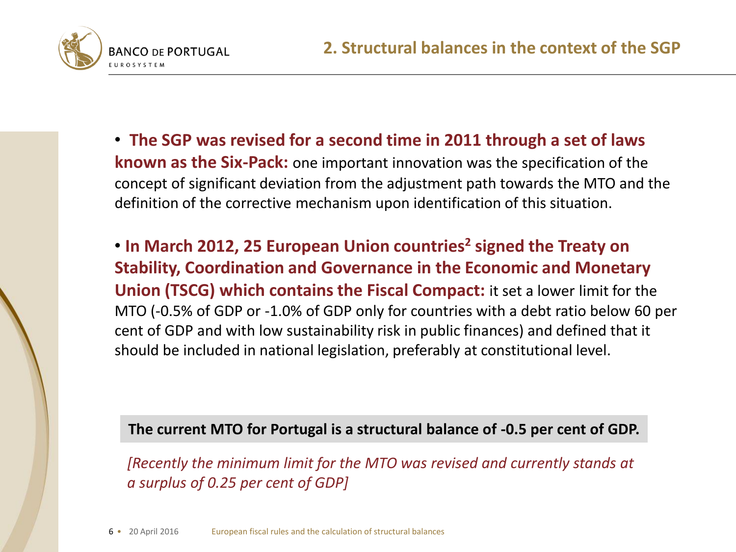

• **The SGP was revised for a second time in 2011 through a set of laws known as the Six-Pack:** one important innovation was the specification of the concept of significant deviation from the adjustment path towards the MTO and the definition of the corrective mechanism upon identification of this situation.

• **In March 2012, 25 European Union countries<sup>2</sup> signed the Treaty on Stability, Coordination and Governance in the Economic and Monetary Union (TSCG) which contains the Fiscal Compact:** it set a lower limit for the MTO (-0.5% of GDP or -1.0% of GDP only for countries with a debt ratio below 60 per cent of GDP and with low sustainability risk in public finances) and defined that it should be included in national legislation, preferably at constitutional level.

**The current MTO for Portugal is a structural balance of -0.5 per cent of GDP.**

*[Recently the minimum limit for the MTO was revised and currently stands at a surplus of 0.25 per cent of GDP]*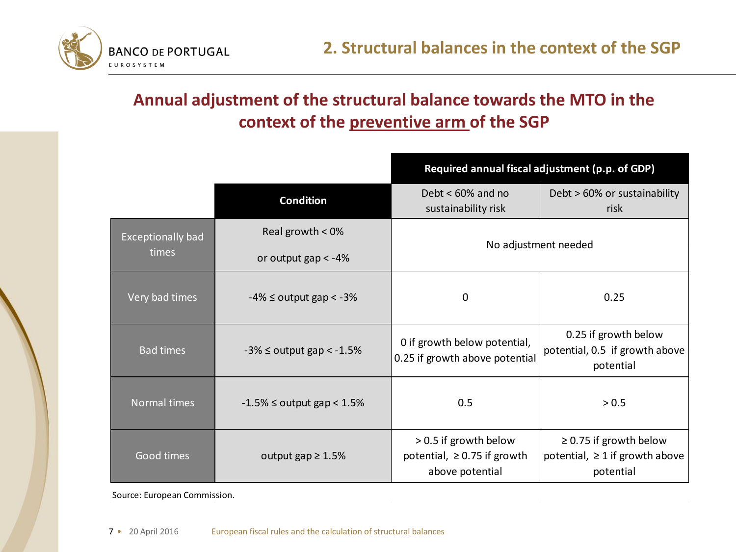

### **Annual adjustment of the structural balance towards the MTO in the context of the preventive arm of the SGP**

|                          |                                     | Required annual fiscal adjustment (p.p. of GDP)                              |                                                                                 |  |  |  |  |  |
|--------------------------|-------------------------------------|------------------------------------------------------------------------------|---------------------------------------------------------------------------------|--|--|--|--|--|
|                          | <b>Condition</b>                    | Debt $< 60\%$ and no<br>sustainability risk                                  | Debt > 60% or sustainability<br>risk                                            |  |  |  |  |  |
| <b>Exceptionally bad</b> | Real growth < 0%                    | No adjustment needed                                                         |                                                                                 |  |  |  |  |  |
| times                    | or output $gap < -4\%$              |                                                                              |                                                                                 |  |  |  |  |  |
| Very bad times           | $-4\% \leq$ output gap $\lt$ $-3\%$ | 0                                                                            | 0.25                                                                            |  |  |  |  |  |
| <b>Bad times</b>         | $-3\% \leq$ output gap < $-1.5\%$   | 0 if growth below potential,<br>0.25 if growth above potential               | 0.25 if growth below<br>potential, 0.5 if growth above<br>potential             |  |  |  |  |  |
| Normal times             | $-1.5\% \leq$ output gap $< 1.5\%$  | 0.5                                                                          | > 0.5                                                                           |  |  |  |  |  |
| Good times               | output gap $\geq 1.5\%$             | > 0.5 if growth below<br>potential, $\geq$ 0.75 if growth<br>above potential | $\geq$ 0.75 if growth below<br>potential, $\geq 1$ if growth above<br>potential |  |  |  |  |  |

Source: European Commission.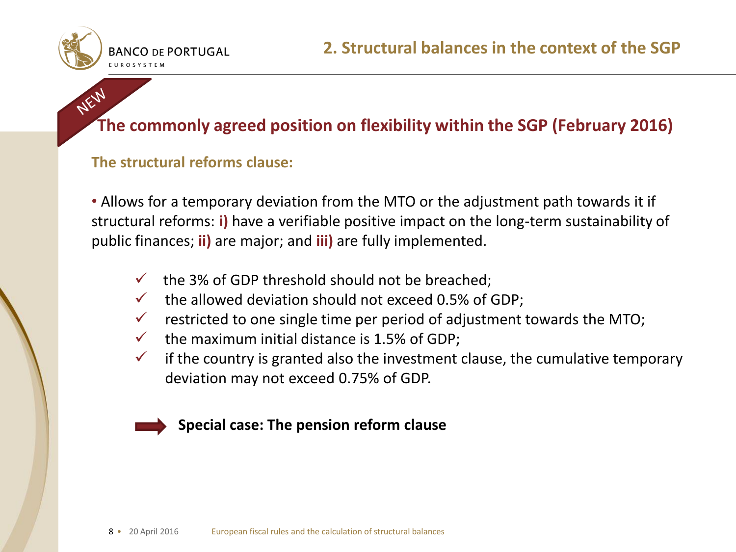

## NEW **The commonly agreed position on flexibility within the SGP (February 2016)**

#### **The structural reforms clause:**

• Allows for a temporary deviation from the MTO or the adjustment path towards it if structural reforms: **i)** have a verifiable positive impact on the long-term sustainability of public finances; **ii)** are major; and **iii)** are fully implemented.

- $\checkmark$  the 3% of GDP threshold should not be breached;
- $\checkmark$  the allowed deviation should not exceed 0.5% of GDP;
- $\checkmark$  restricted to one single time per period of adjustment towards the MTO;
- $\checkmark$  the maximum initial distance is 1.5% of GDP;
- $\checkmark$  if the country is granted also the investment clause, the cumulative temporary deviation may not exceed 0.75% of GDP.

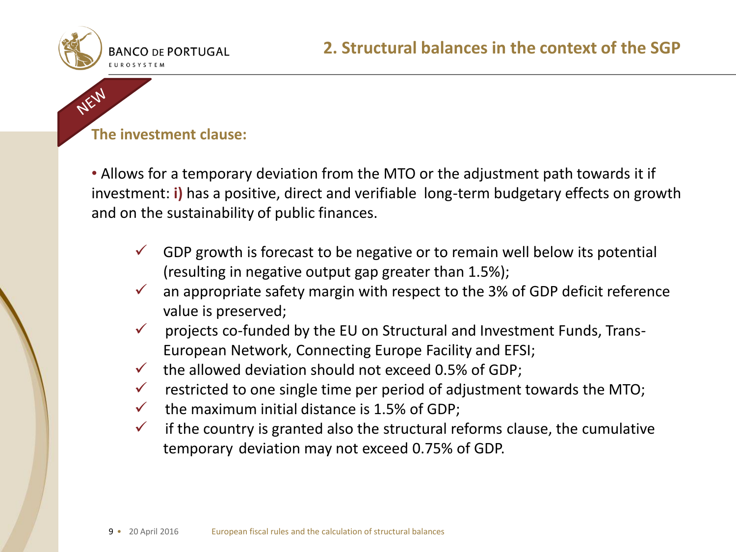

NEW

#### **The investment clause:**

• Allows for a temporary deviation from the MTO or the adjustment path towards it if investment: **i)** has a positive, direct and verifiable long-term budgetary effects on growth and on the sustainability of public finances.

- GDP growth is forecast to be negative or to remain well below its potential (resulting in negative output gap greater than 1.5%);
- an appropriate safety margin with respect to the 3% of GDP deficit reference value is preserved;
- projects co-funded by the EU on Structural and Investment Funds, Trans-European Network, Connecting Europe Facility and EFSI;
- $\checkmark$  the allowed deviation should not exceed 0.5% of GDP;
- $\checkmark$  restricted to one single time per period of adjustment towards the MTO;
- $\checkmark$  the maximum initial distance is 1.5% of GDP;
- $\checkmark$  if the country is granted also the structural reforms clause, the cumulative temporary deviation may not exceed 0.75% of GDP.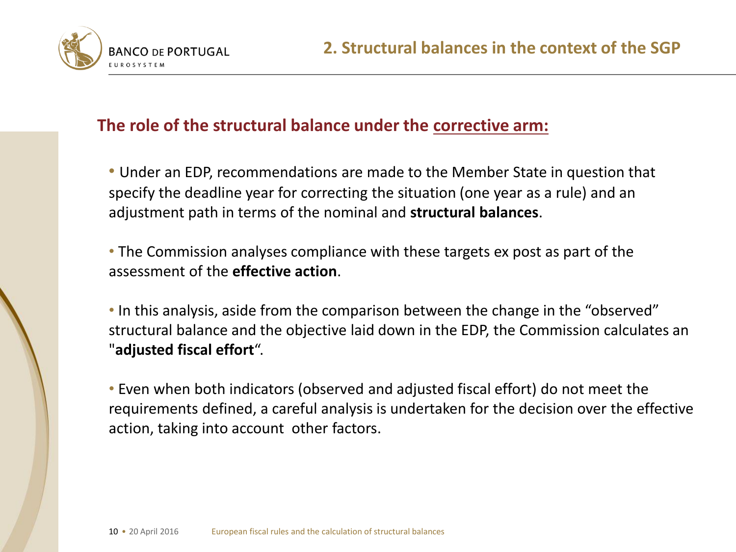



#### **The role of the structural balance under the corrective arm:**

• Under an EDP, recommendations are made to the Member State in question that specify the deadline year for correcting the situation (one year as a rule) and an adjustment path in terms of the nominal and **structural balances**.

• The Commission analyses compliance with these targets ex post as part of the assessment of the **effective action**.

• In this analysis, aside from the comparison between the change in the "observed" structural balance and the objective laid down in the EDP, the Commission calculates an "**adjusted fiscal effort**".

• Even when both indicators (observed and adjusted fiscal effort) do not meet the requirements defined, a careful analysis is undertaken for the decision over the effective action, taking into account other factors.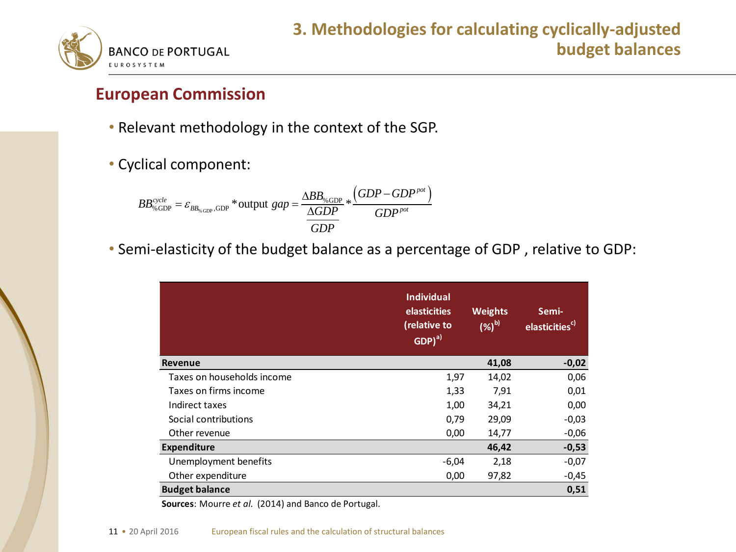

#### **European Commission**

- Relevant methodology in the context of the SGP.
- Cyclical component:

clical component:

\n
$$
BB_{\text{%GDP}}^{cycle} = \varepsilon_{BB_{\text{%GDP}}}, \text{GDP}^* \text{output } gap = \frac{\Delta BB_{\text{%GDP}}}{\Delta GDP} * \frac{(GDP - GDP^{pot})}{GDP^{pot}}
$$

• Semi-elasticity of the budget balance as a percentage of GDP , relative to GDP:

|                            | <b>Individual</b><br><b>elasticities</b><br>(relative to<br>$\overline{\textsf{GDP}})^{a)}$ | <b>Weights</b><br>$(%)^b$ | Semi-<br>elasticities <sup>c)</sup> |
|----------------------------|---------------------------------------------------------------------------------------------|---------------------------|-------------------------------------|
| Revenue                    |                                                                                             | 41,08                     | $-0,02$                             |
| Taxes on households income | 1,97                                                                                        | 14,02                     | 0,06                                |
| Taxes on firms income      | 1,33                                                                                        | 7,91                      | 0,01                                |
| Indirect taxes             | 1,00                                                                                        | 34,21                     | 0,00                                |
| Social contributions       | 0,79                                                                                        | 29,09                     | $-0,03$                             |
| Other revenue              | 0,00                                                                                        | 14,77                     | $-0,06$                             |
| <b>Expenditure</b>         |                                                                                             | 46,42                     | $-0,53$                             |
| Unemployment benefits      | $-6,04$                                                                                     | 2,18                      | $-0,07$                             |
| Other expenditure          | 0,00                                                                                        | 97,82                     | $-0,45$                             |
| <b>Budget balance</b>      |                                                                                             |                           | 0,51                                |

**Sources**: Mourre *et al.* (2014) and Banco de Portugal.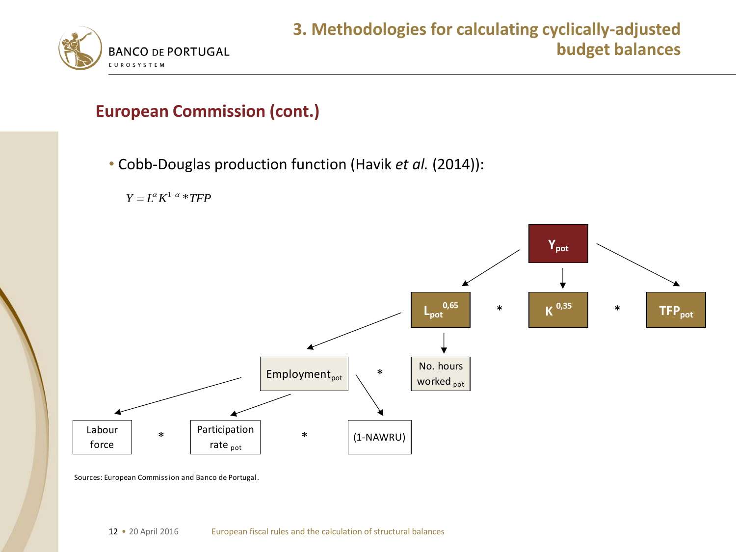

#### **European Commission (cont.)**

• Cobb-Douglas production function (Havik *et al.* (2014)):





Sources: European Commission and Banco de Portugal.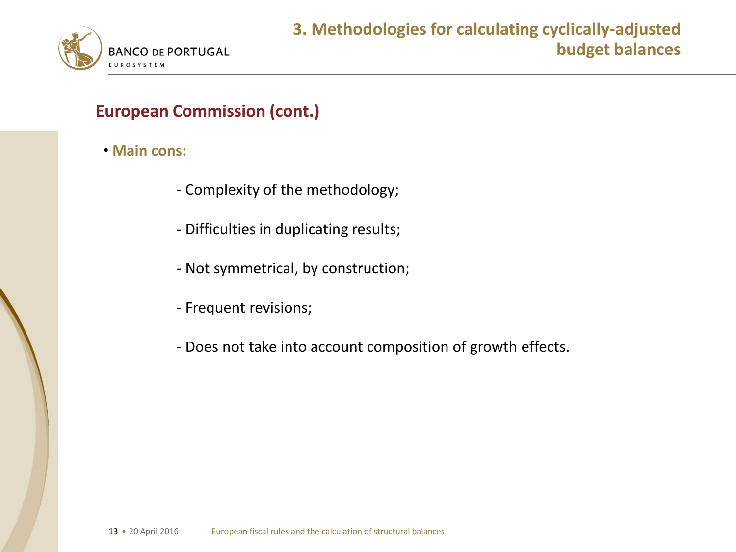

#### **European Commission (cont.)**

- **Main cons:**
	- Complexity of the methodology;
	- Difficulties in duplicating results;
	- Not symmetrical, by construction;
	- Frequent revisions;
	- Does not take into account composition of growth effects.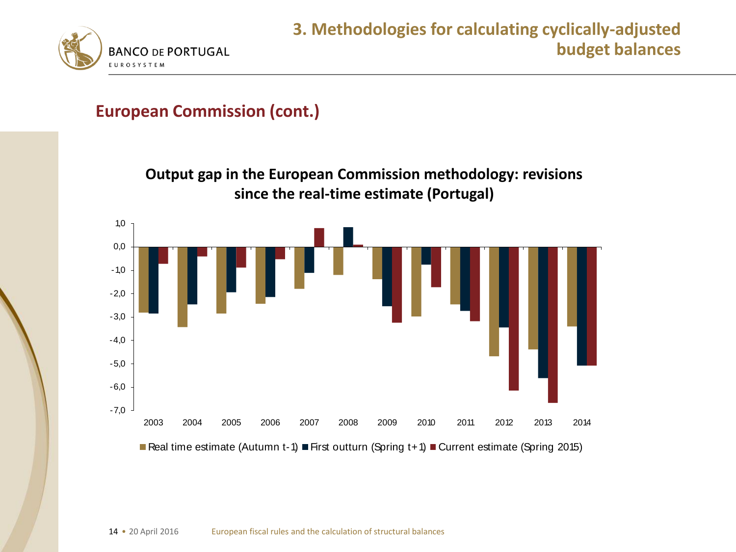

#### **European Commission (cont.)**

**Output gap in the European Commission methodology: revisions since the real-time estimate (Portugal)**

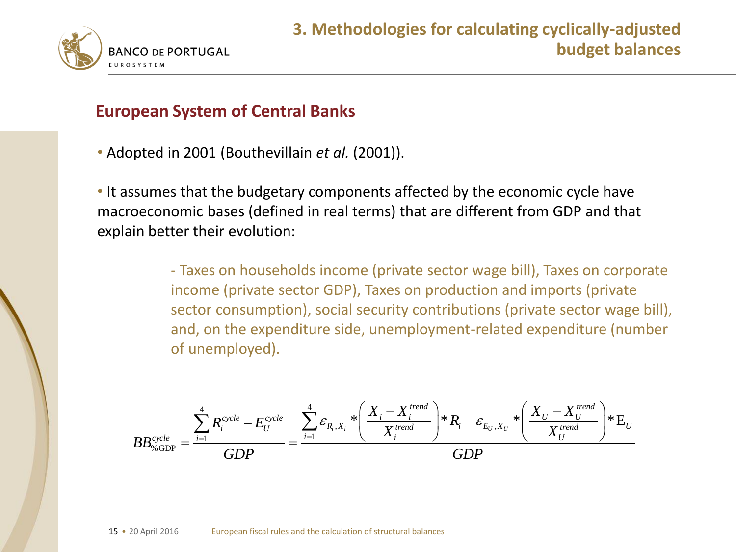

#### **European System of Central Banks**

• Adopted in 2001 (Bouthevillain *et al.* (2001)).

• It assumes that the budgetary components affected by the economic cycle have macroeconomic bases (defined in real terms) that are different from GDP and that explain better their evolution:

> - Taxes on households income (private sector wage bill), Taxes on corporate income (private sector GDP), Taxes on production and imports (private sector consumption), social security contributions (private sector wage bill), and, on the expenditure side, unemployment-related expenditure (number of unemployed).

of unemployed).

\n
$$
BB_{\% GDP}^{cycle} = \frac{\sum_{i=1}^{4} R_i^{cycle} - E_U^{cycle}}{GDP} = \frac{\sum_{i=1}^{4} \varepsilon_{R_i, X_i} * \left( \frac{X_i - X_i^{trend}}{X_i^{trend}} \right) * R_i - \varepsilon_{E_U, X_U} * \left( \frac{X_U - X_U^{trend}}{X_U^{trend}} \right) * E_U}{GDP}
$$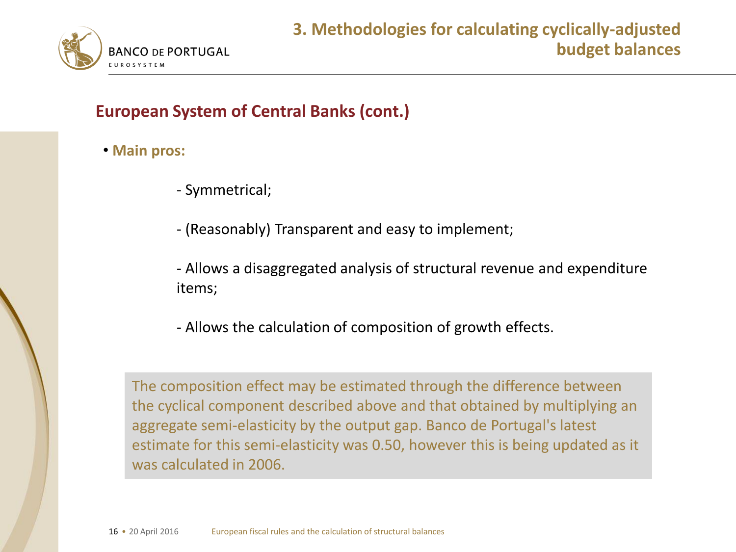

#### **European System of Central Banks (cont.)**

- **Main pros:**
	- Symmetrical;
	- (Reasonably) Transparent and easy to implement;
	- Allows a disaggregated analysis of structural revenue and expenditure items;
	- Allows the calculation of composition of growth effects.

The composition effect may be estimated through the difference between the cyclical component described above and that obtained by multiplying an aggregate semi-elasticity by the output gap. Banco de Portugal's latest estimate for this semi-elasticity was 0.50, however this is being updated as it was calculated in 2006.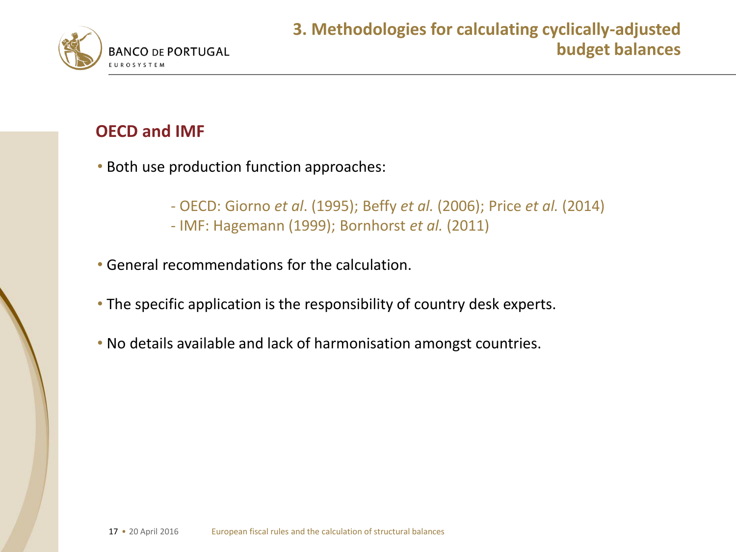

#### **OECD and IMF**

- Both use production function approaches:
	- OECD: Giorno *et al*. (1995); Beffy *et al.* (2006); Price *et al.* (2014)
	- IMF: Hagemann (1999); Bornhorst *et al.* (2011)
- General recommendations for the calculation.
- The specific application is the responsibility of country desk experts.
- No details available and lack of harmonisation amongst countries.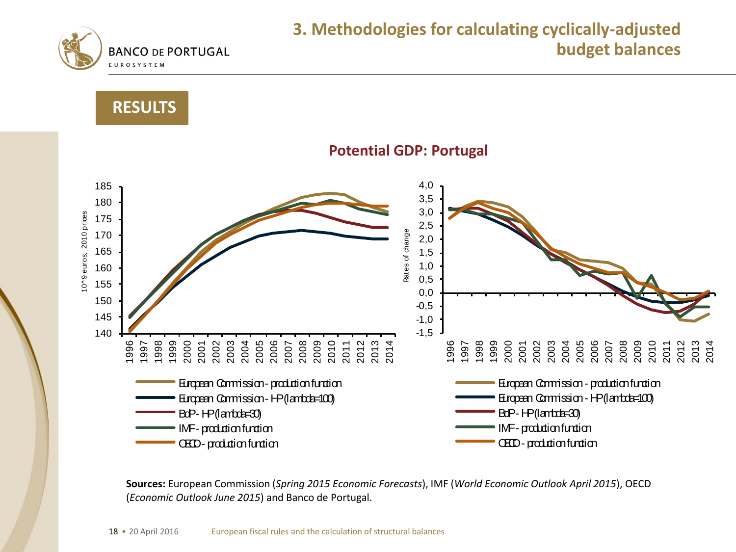

#### **3. Methodologies for calculating cyclically-adjusted budget balances**





**Sources:** European Commission (*Spring 2015 Economic Forecasts*), IMF (*World Economic Outlook April 2015*), OECD (*Economic Outlook June 2015*) and Banco de Portugal.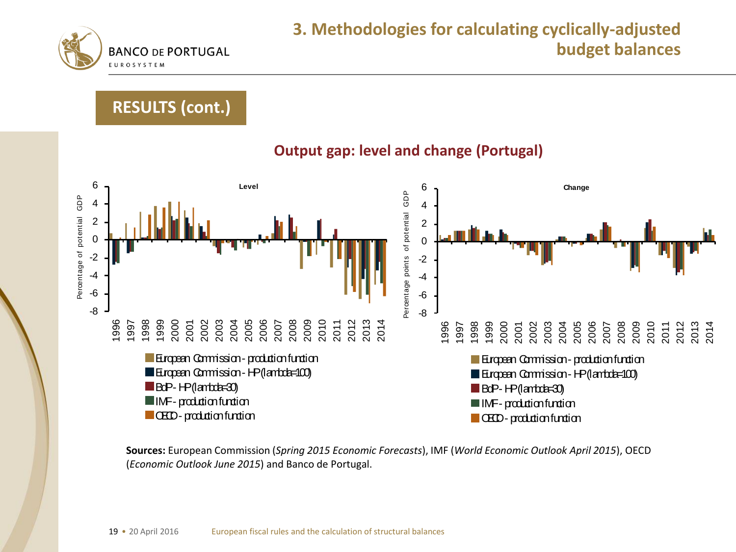

### **RESULTS (cont.)**



**Sources:** European Commission (*Spring 2015 Economic Forecasts*), IMF (*World Economic Outlook April 2015*), OECD (*Economic Outlook June 2015*) and Banco de Portugal.

#### **Output gap: level and change (Portugal)**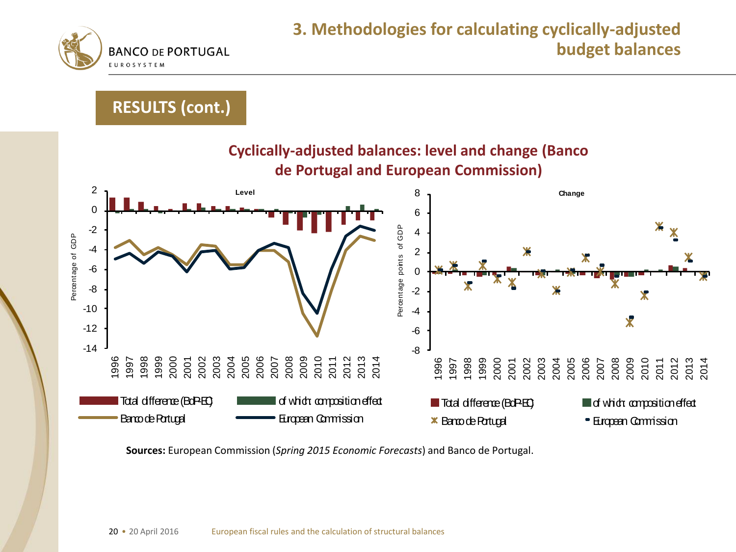

#### **RESULTS (cont.)**



**Sources:** European Commission (*Spring 2015 Economic Forecasts*) and Banco de Portugal.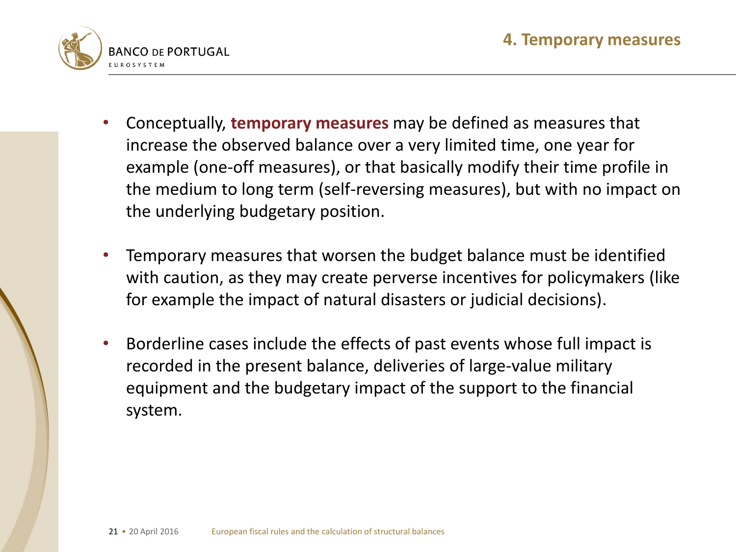

- Conceptually, **temporary measures** may be defined as measures that increase the observed balance over a very limited time, one year for example (one-off measures), or that basically modify their time profile in the medium to long term (self-reversing measures), but with no impact on the underlying budgetary position.
- Temporary measures that worsen the budget balance must be identified with caution, as they may create perverse incentives for policymakers (like for example the impact of natural disasters or judicial decisions).
- Borderline cases include the effects of past events whose full impact is recorded in the present balance, deliveries of large-value military equipment and the budgetary impact of the support to the financial system.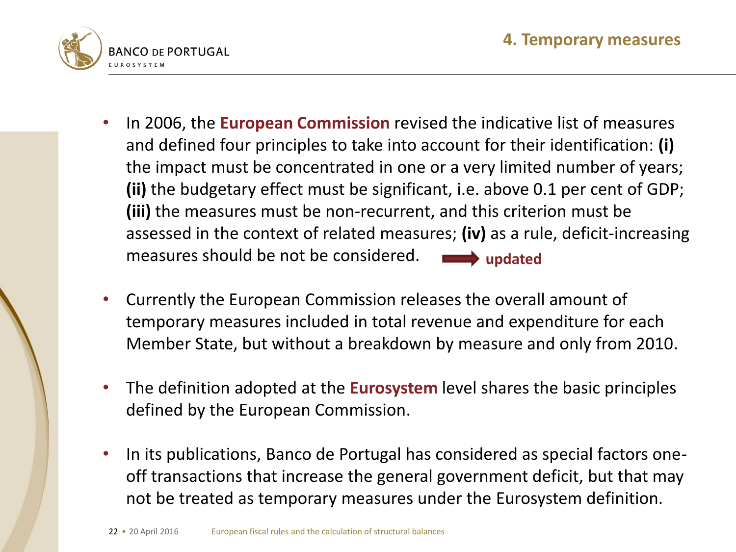

- In 2006, the **European Commission** revised the indicative list of measures and defined four principles to take into account for their identification: **(i)** the impact must be concentrated in one or a very limited number of years; **(ii)** the budgetary effect must be significant, i.e. above 0.1 per cent of GDP; **(iii)** the measures must be non-recurrent, and this criterion must be assessed in the context of related measures; **(iv)** as a rule, deficit-increasing measures should be not be considered.  $\Rightarrow$  updated
- Currently the European Commission releases the overall amount of temporary measures included in total revenue and expenditure for each Member State, but without a breakdown by measure and only from 2010.
- The definition adopted at the **Eurosystem** level shares the basic principles defined by the European Commission.
- In its publications, Banco de Portugal has considered as special factors oneoff transactions that increase the general government deficit, but that may not be treated as temporary measures under the Eurosystem definition.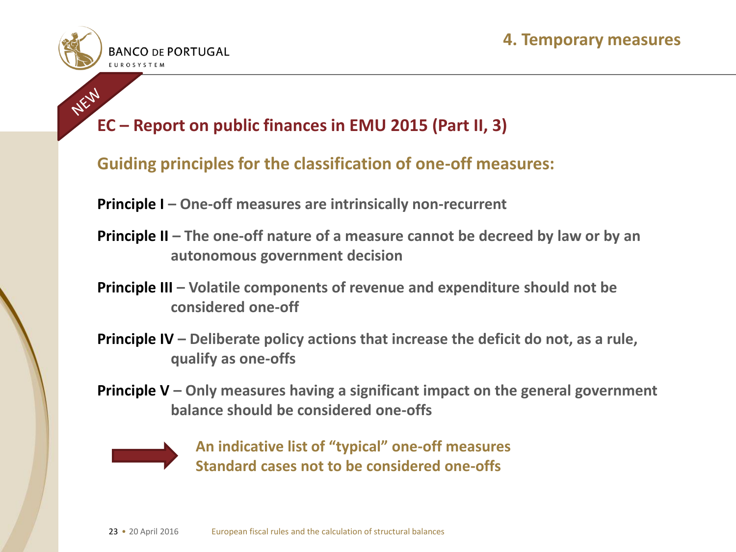

# **EC** – Report on public finances in EMU 2015 (Part II, 3)

#### **Guiding principles for the classification of one-off measures:**

**Principle I – One-off measures are intrinsically non-recurrent**

- **Principle II** The one-off nature of a measure cannot be decreed by law or by an **autonomous government decision**
- **Principle III – Volatile components of revenue and expenditure should not be considered one-off**
- **Principle IV – Deliberate policy actions that increase the deficit do not, as a rule, qualify as one-offs**
- **Principle V – Only measures having a significant impact on the general government balance should be considered one-offs**



**An indicative list of "typical" one-off measures Standard cases not to be considered one-offs**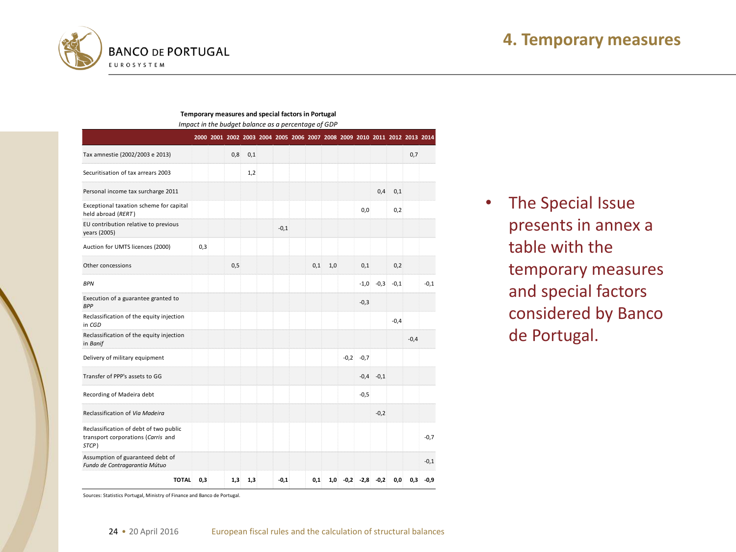

#### **Temporary measures and special factors in Portugal**

*Impact in the budget balance as a percentage of GDP*

|                                                                                       |     |      |     |        |     |     |        |               |        | 2000 2001 2002 2003 2004 2005 2006 2007 2008 2009 2010 2011 2012 2013 2014 |        |        |
|---------------------------------------------------------------------------------------|-----|------|-----|--------|-----|-----|--------|---------------|--------|----------------------------------------------------------------------------|--------|--------|
| Tax amnestie (2002/2003 e 2013)                                                       |     | 0,8  | 0,1 |        |     |     |        |               |        |                                                                            | 0,7    |        |
| Securitisation of tax arrears 2003                                                    |     |      | 1,2 |        |     |     |        |               |        |                                                                            |        |        |
| Personal income tax surcharge 2011                                                    |     |      |     |        |     |     |        |               | 0,4    | 0,1                                                                        |        |        |
| Exceptional taxation scheme for capital<br>held abroad (RERT)                         |     |      |     |        |     |     |        | 0,0           |        | 0,2                                                                        |        |        |
| EU contribution relative to previous<br>years (2005)                                  |     |      |     | $-0,1$ |     |     |        |               |        |                                                                            |        |        |
| Auction for UMTS licences (2000)                                                      | 0,3 |      |     |        |     |     |        |               |        |                                                                            |        |        |
| Other concessions                                                                     |     | 0, 5 |     |        | 0,1 | 1,0 |        | 0,1           |        | 0,2                                                                        |        |        |
| <b>BPN</b>                                                                            |     |      |     |        |     |     |        | $-1,0$        | $-0,3$ | $-0,1$                                                                     |        | $-0,1$ |
| Execution of a guarantee granted to<br><b>BPP</b>                                     |     |      |     |        |     |     |        | $-0,3$        |        |                                                                            |        |        |
| Reclassification of the equity injection<br>in CGD                                    |     |      |     |        |     |     |        |               |        | $-0,4$                                                                     |        |        |
| Reclassification of the equity injection<br>in Banif                                  |     |      |     |        |     |     |        |               |        |                                                                            | $-0,4$ |        |
| Delivery of military equipment                                                        |     |      |     |        |     |     | $-0,2$ | $-0,7$        |        |                                                                            |        |        |
| Transfer of PPP's assets to GG                                                        |     |      |     |        |     |     |        | $-0,4$        | $-0,1$ |                                                                            |        |        |
| Recording of Madeira debt                                                             |     |      |     |        |     |     |        | $-0,5$        |        |                                                                            |        |        |
| Reclassification of Via Madeira                                                       |     |      |     |        |     |     |        |               | $-0,2$ |                                                                            |        |        |
| Reclassification of debt of two public<br>transport corporations (Carris and<br>STCP) |     |      |     |        |     |     |        |               |        |                                                                            |        | $-0,7$ |
| Assumption of guaranteed debt of<br>Fundo de Contragarantia Mútuo                     |     |      |     |        |     |     |        |               |        |                                                                            |        | $-0,1$ |
| <b>TOTAL</b>                                                                          | 0.3 | 1,3  | 1,3 | $-0.1$ | 0,1 | 1,0 |        | $-0,2$ $-2,8$ | $-0,2$ | 0,0                                                                        | 0,3    | $-0,9$ |

• The Special Issue presents in annex a table with the temporary measures and special factors considered by Banco de Portugal.

Sources: Statistics Portugal, Ministry of Finance and Banco de Portugal.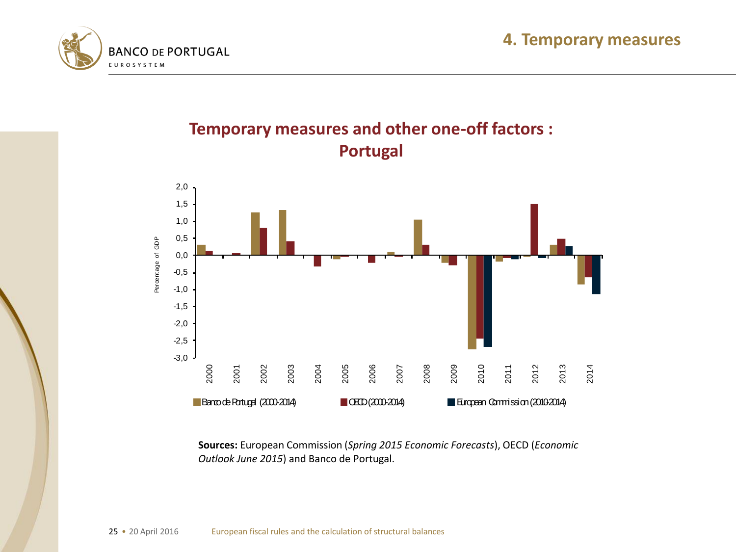





**Temporary measures and other one-off factors :** 

**Sources:** European Commission (*Spring 2015 Economic Forecasts*), OECD (*Economic Outlook June 2015*) and Banco de Portugal.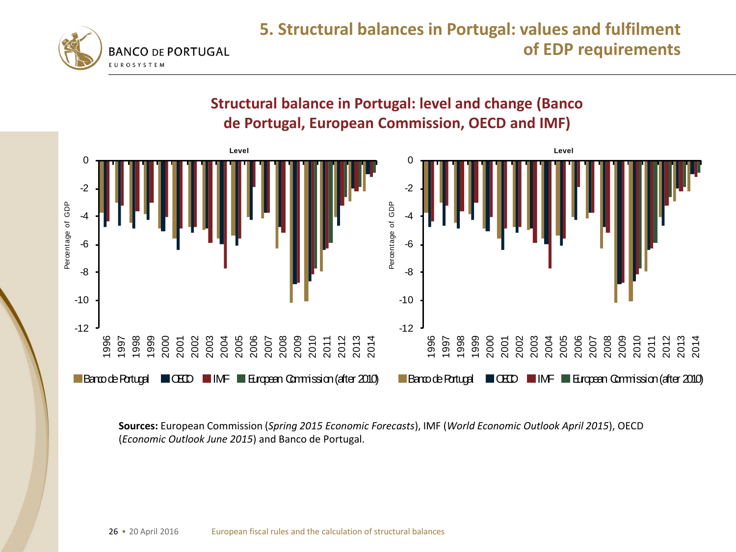



**Sources:** European Commission (*Spring 2015 Economic Forecasts*), IMF (*World Economic Outlook April 2015*), OECD (*Economic Outlook June 2015*) and Banco de Portugal.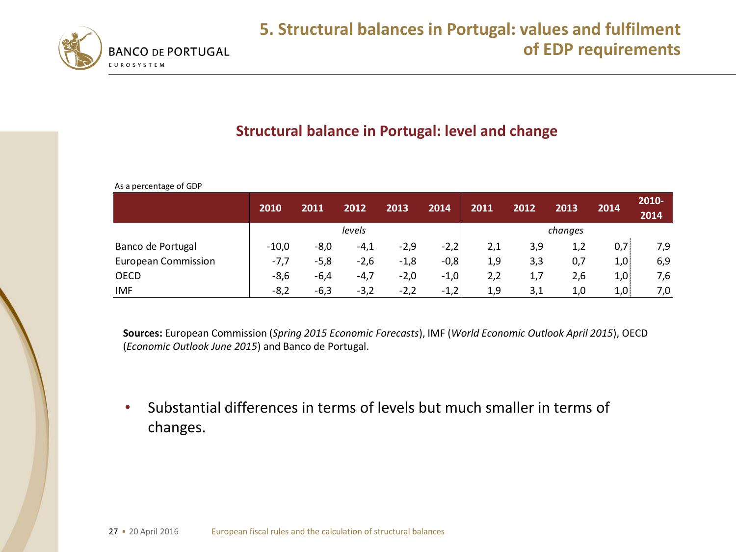

#### **Structural balance in Portugal: level and change**

As a percentage of GDP

|                            | 2010    | 2011   | 2012   | 2013   | 2014   | 2011 | 2012 | 2013    | 2014 | 2010-<br>2014 |
|----------------------------|---------|--------|--------|--------|--------|------|------|---------|------|---------------|
|                            |         |        | levels |        |        |      |      | changes |      |               |
| Banco de Portugal          | $-10,0$ | $-8,0$ | $-4,1$ | $-2,9$ | $-2,2$ | 2,1  | 3,9  | 1,2     | 0,7  | 7,9           |
| <b>European Commission</b> | -7,7    | $-5,8$ | $-2,6$ | $-1,8$ | $-0,8$ | 1,9  | 3,3  | 0,7     | 1,0  | 6,9           |
| <b>OECD</b>                | $-8,6$  | $-6,4$ | $-4,7$ | $-2,0$ | $-1,0$ | 2,2  | 1,7  | 2,6     | 1,0  | 7,6           |
| <b>IMF</b>                 | $-8,2$  | $-6,3$ | $-3,2$ | $-2,2$ | $-1,2$ | 1,9  | 3,1  | 1,0     | 1,0  | 7,0           |

**Sources:** European Commission (*Spring 2015 Economic Forecasts*), IMF (*World Economic Outlook April 2015*), OECD (*Economic Outlook June 2015*) and Banco de Portugal.

• Substantial differences in terms of levels but much smaller in terms of changes.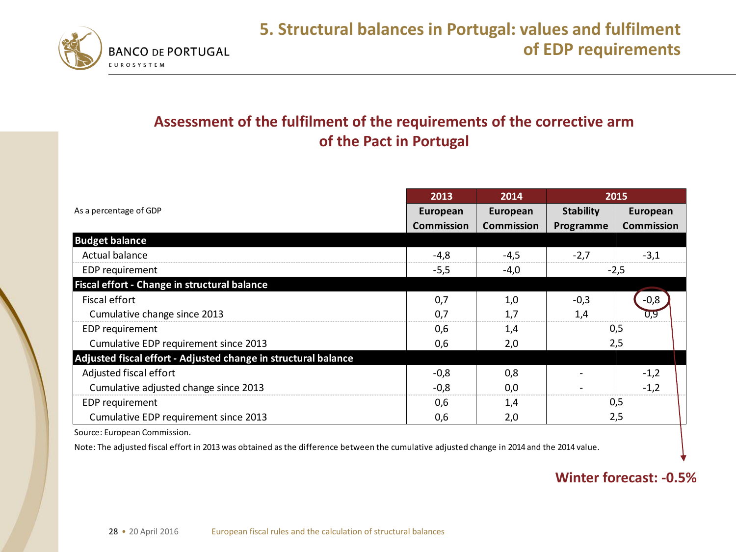

#### **Assessment of the fulfilment of the requirements of the corrective arm of the Pact in Portugal**

|                                                                | 2013                          | 2014                          | 2015                          |                               |  |
|----------------------------------------------------------------|-------------------------------|-------------------------------|-------------------------------|-------------------------------|--|
| As a percentage of GDP                                         | European<br><b>Commission</b> | European<br><b>Commission</b> | <b>Stability</b><br>Programme | European<br><b>Commission</b> |  |
| <b>Budget balance</b>                                          |                               |                               |                               |                               |  |
| Actual balance                                                 | -4,8                          | $-4,5$                        | $-2,7$                        | $-3,1$                        |  |
| EDP requirement                                                | $-5,5$                        | -4,0                          |                               | $-2,5$                        |  |
| Fiscal effort - Change in structural balance                   |                               |                               |                               |                               |  |
| Fiscal effort                                                  | 0,7                           | 1,0                           | $-0,3$                        | $-0,8$                        |  |
| Cumulative change since 2013                                   | 0,7                           | 1,7                           | 1,4                           | 0,9                           |  |
| EDP requirement                                                | 0,6                           | 1,4                           |                               | 0,5                           |  |
| Cumulative EDP requirement since 2013                          | 0,6                           | 2,0                           | 2,5                           |                               |  |
| Adjusted fiscal effort - Adjusted change in structural balance |                               |                               |                               |                               |  |
| Adjusted fiscal effort                                         | $-0,8$                        | 0,8                           |                               | $-1,2$                        |  |
| Cumulative adjusted change since 2013                          | $-0,8$                        | 0,0                           |                               | $-1,2$                        |  |
| EDP requirement                                                | 0,6                           | 1,4                           |                               | 0,5                           |  |
| Cumulative EDP requirement since 2013                          | 0,6                           | 2,0                           |                               | 2,5                           |  |
| Source: European Commission.                                   |                               |                               |                               |                               |  |

Note: The adjusted fiscal effort in 2013 was obtained as the difference between the cumulative adjusted change in 2014 and the 2014 value.

#### **Winter forecast: -0.5%**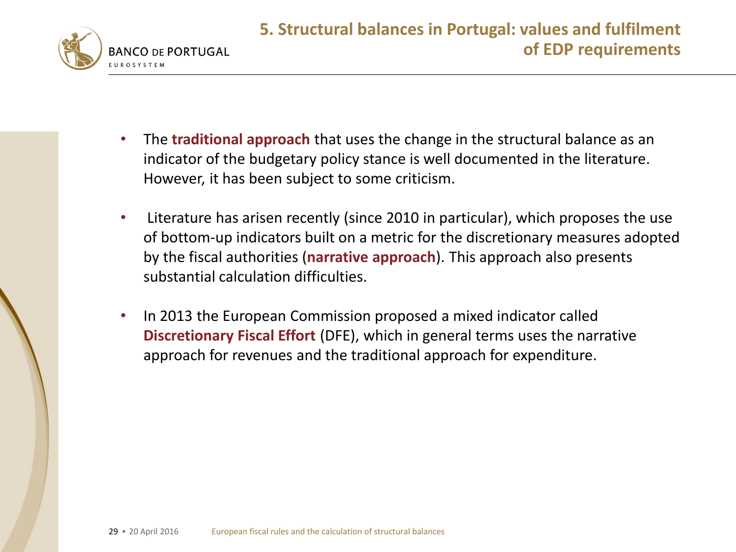

- The **traditional approach** that uses the change in the structural balance as an indicator of the budgetary policy stance is well documented in the literature. However, it has been subject to some criticism.
- Literature has arisen recently (since 2010 in particular), which proposes the use of bottom-up indicators built on a metric for the discretionary measures adopted by the fiscal authorities (**narrative approach**). This approach also presents substantial calculation difficulties.
- In 2013 the European Commission proposed a mixed indicator called **Discretionary Fiscal Effort** (DFE), which in general terms uses the narrative approach for revenues and the traditional approach for expenditure.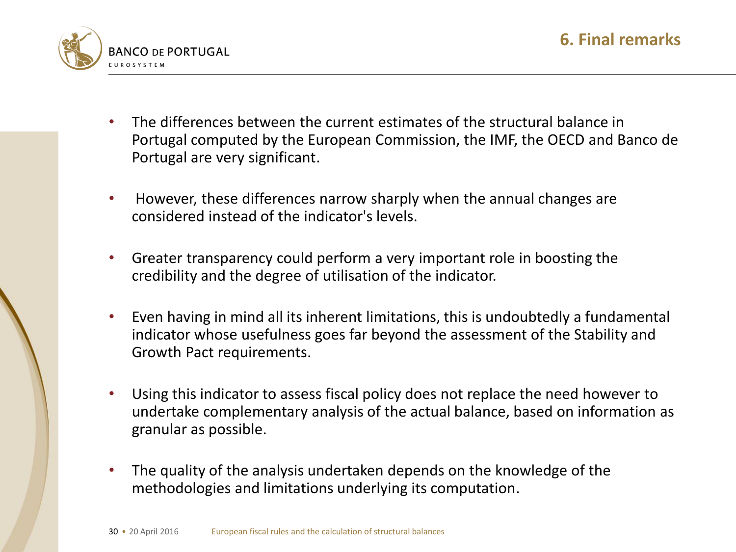

- The differences between the current estimates of the structural balance in Portugal computed by the European Commission, the IMF, the OECD and Banco de Portugal are very significant.
- However, these differences narrow sharply when the annual changes are considered instead of the indicator's levels.
- Greater transparency could perform a very important role in boosting the credibility and the degree of utilisation of the indicator.
- Even having in mind all its inherent limitations, this is undoubtedly a fundamental indicator whose usefulness goes far beyond the assessment of the Stability and Growth Pact requirements.
- Using this indicator to assess fiscal policy does not replace the need however to undertake complementary analysis of the actual balance, based on information as granular as possible.
- The quality of the analysis undertaken depends on the knowledge of the methodologies and limitations underlying its computation.